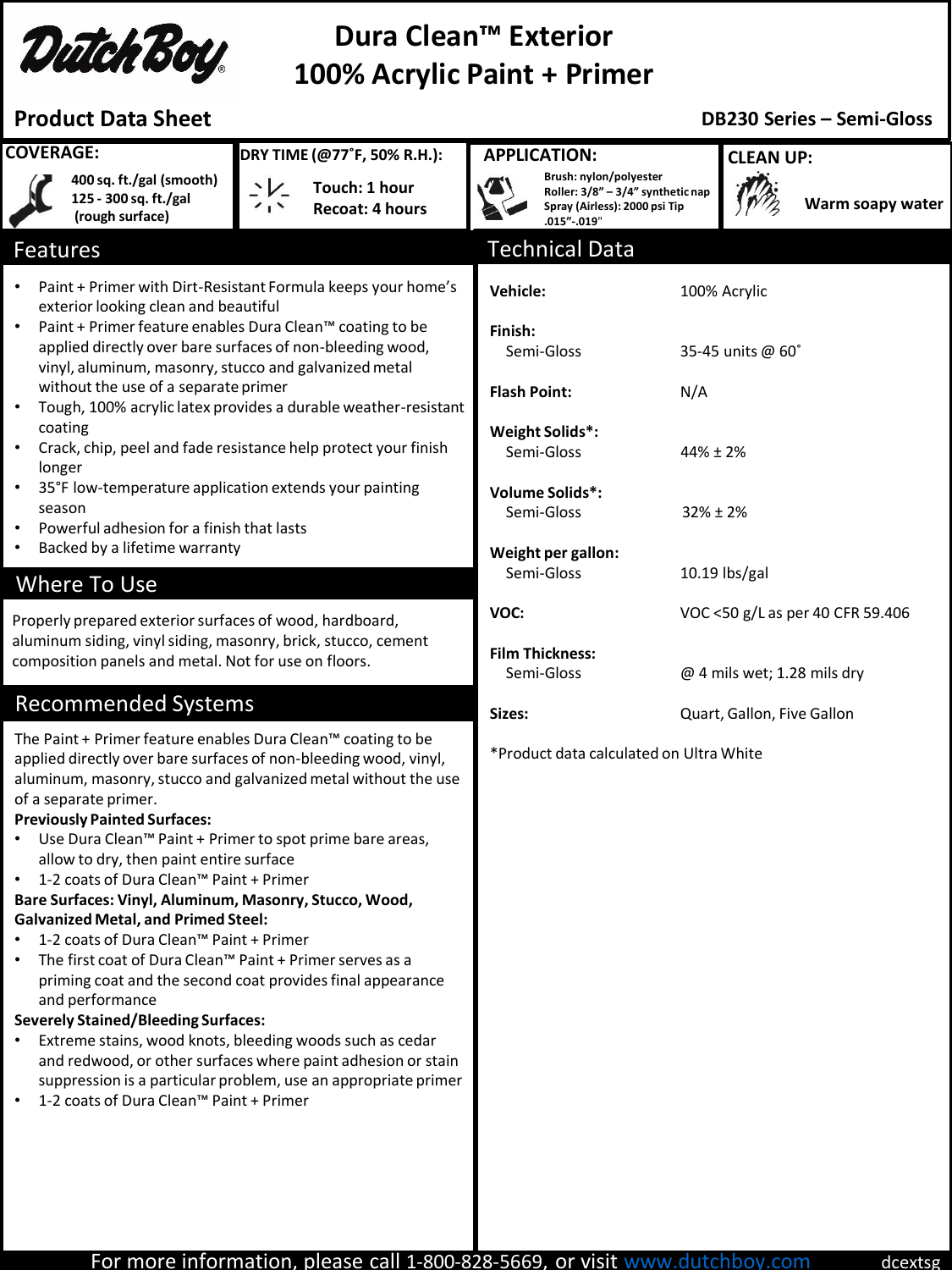

# **Dura Clean™ Exterior 100% Acrylic Paint + Primer**

## **Product Data Sheet**

### **DB230 Series – Semi-Gloss**

| <b>COVERAGE:</b>                                                                                                                                                                                                                                                                                                                                                                                                                                                                                                                                                                                                                                                                                                                                                                                                                                                                                                                                                                                                                                                |                                                                      | DRY TIME (@77°F, 50% R.H.): |                                         | <b>APPLICATION:</b>                                |                                                                                                                  |                                                                                                                             | <b>CLEAN UP:</b> |                  |  |
|-----------------------------------------------------------------------------------------------------------------------------------------------------------------------------------------------------------------------------------------------------------------------------------------------------------------------------------------------------------------------------------------------------------------------------------------------------------------------------------------------------------------------------------------------------------------------------------------------------------------------------------------------------------------------------------------------------------------------------------------------------------------------------------------------------------------------------------------------------------------------------------------------------------------------------------------------------------------------------------------------------------------------------------------------------------------|----------------------------------------------------------------------|-----------------------------|-----------------------------------------|----------------------------------------------------|------------------------------------------------------------------------------------------------------------------|-----------------------------------------------------------------------------------------------------------------------------|------------------|------------------|--|
|                                                                                                                                                                                                                                                                                                                                                                                                                                                                                                                                                                                                                                                                                                                                                                                                                                                                                                                                                                                                                                                                 | 400 sq. ft./gal (smooth)<br>125 - 300 sq. ft./gal<br>(rough surface) | $\cdot V$<br>$\sim$         | Touch: 1 hour<br><b>Recoat: 4 hours</b> |                                                    | Brush: nylon/polyester<br>Roller: 3/8" - 3/4" synthetic nap<br>Spray (Airless): 2000 psi Tip<br>.015"-.019"      |                                                                                                                             |                  | Warm soapy water |  |
| <b>Features</b>                                                                                                                                                                                                                                                                                                                                                                                                                                                                                                                                                                                                                                                                                                                                                                                                                                                                                                                                                                                                                                                 |                                                                      |                             |                                         |                                                    | <b>Technical Data</b>                                                                                            |                                                                                                                             |                  |                  |  |
| Paint + Primer with Dirt-Resistant Formula keeps your home's<br>$\bullet$<br>exterior looking clean and beautiful<br>Paint + Primer feature enables Dura Clean™ coating to be<br>$\bullet$<br>applied directly over bare surfaces of non-bleeding wood,<br>vinyl, aluminum, masonry, stucco and galvanized metal<br>without the use of a separate primer<br>Tough, 100% acrylic latex provides a durable weather-resistant<br>$\bullet$<br>coating<br>Crack, chip, peel and fade resistance help protect your finish<br>$\bullet$<br>longer<br>35°F low-temperature application extends your painting<br>$\bullet$<br>season<br>Powerful adhesion for a finish that lasts<br>$\bullet$<br>Backed by a lifetime warranty<br>$\bullet$<br>Where To Use<br>Properly prepared exterior surfaces of wood, hardboard,<br>aluminum siding, vinyl siding, masonry, brick, stucco, cement                                                                                                                                                                                |                                                                      |                             |                                         | Vehicle:<br>Finish:<br><b>Flash Point:</b><br>VOC: | Semi-Gloss<br>Weight Solids*:<br>Semi-Gloss<br>Volume Solids*:<br>Semi-Gloss<br>Weight per gallon:<br>Semi-Gloss | 100% Acrylic<br>35-45 units @ 60°<br>N/A<br>44% ± 2%<br>$32\% \pm 2\%$<br>10.19 lbs/gal<br>VOC <50 g/L as per 40 CFR 59.406 |                  |                  |  |
| composition panels and metal. Not for use on floors.<br><b>Recommended Systems</b>                                                                                                                                                                                                                                                                                                                                                                                                                                                                                                                                                                                                                                                                                                                                                                                                                                                                                                                                                                              |                                                                      |                             |                                         | <b>Film Thickness:</b><br>Semi-Gloss               | @ 4 mils wet; 1.28 mils dry                                                                                      |                                                                                                                             |                  |                  |  |
| The Paint + Primer feature enables Dura Clean™ coating to be<br>applied directly over bare surfaces of non-bleeding wood, vinyl,<br>aluminum, masonry, stucco and galvanized metal without the use<br>of a separate primer.<br><b>Previously Painted Surfaces:</b><br>Use Dura Clean™ Paint + Primer to spot prime bare areas,<br>$\bullet$<br>allow to dry, then paint entire surface<br>1-2 coats of Dura Clean™ Paint + Primer<br>$\bullet$<br>Bare Surfaces: Vinyl, Aluminum, Masonry, Stucco, Wood,<br><b>Galvanized Metal, and Primed Steel:</b><br>1-2 coats of Dura Clean™ Paint + Primer<br>The first coat of Dura Clean™ Paint + Primer serves as a<br>$\bullet$<br>priming coat and the second coat provides final appearance<br>and performance<br><b>Severely Stained/Bleeding Surfaces:</b><br>Extreme stains, wood knots, bleeding woods such as cedar<br>and redwood, or other surfaces where paint adhesion or stain<br>suppression is a particular problem, use an appropriate primer<br>1-2 coats of Dura Clean™ Paint + Primer<br>$\bullet$ |                                                                      |                             |                                         |                                                    | Sizes:<br>Quart, Gallon, Five Gallon<br>*Product data calculated on Ultra White                                  |                                                                                                                             |                  |                  |  |